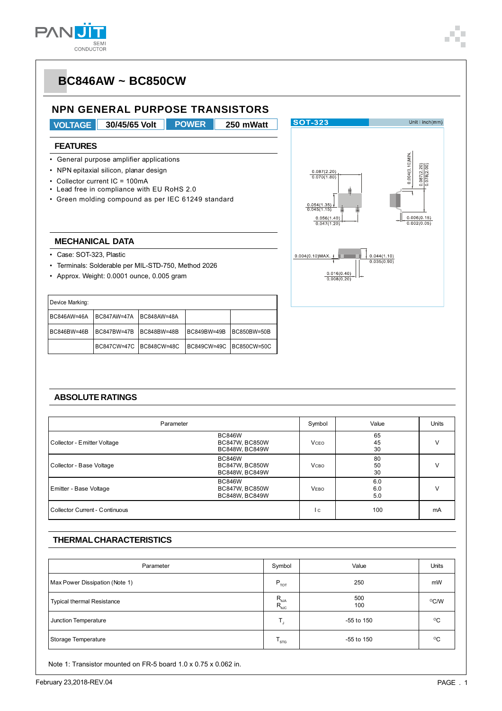

### **NPN GENERAL PURPOSE TRANSISTORS**

**VOLTAGE 30/45/65 Volt 250 mWatt POWER**

**SOT-323** 

#### **FEATURES**

- General purpose amplifier applications
- NPN epitaxial silicon, planar design
- Collector current IC = 100mA
- Lead free in compliance with EU RoHS 2.0
- Green molding compound as per IEC 61249 standard



Unit: $inch(mm)$ 

### **MECHANICAL DATA**

- Case: SOT-323, Plastic
- Terminals: Solderable per MIL-STD-750, Method 2026
- Approx. Weight: 0.0001 ounce, 0.005 gram

| Device Marking: |                         |             |             |             |
|-----------------|-------------------------|-------------|-------------|-------------|
| BC846AW=46A     | <b>BC847AW=47A</b>      | BC848AW=48A |             |             |
| BC846BW=46B     | BC847BW=47B             | BC848BW=48B | BC849BW=49B | BC850BW=50B |
|                 | BC847CW=47C BC848CW=48C |             | BC849CW=49C | BC850CW=50C |

#### **ABSOLUTE RATINGS**

| Parameter                      |                                                                 | Symbol       | Value             | <b>Units</b> |
|--------------------------------|-----------------------------------------------------------------|--------------|-------------------|--------------|
| Collector - Emitter Voltage    | <b>BC846W</b><br><b>BC847W, BC850W</b><br>BC848W, BC849W        | <b>VCEO</b>  | 65<br>45<br>30    |              |
| Collector - Base Voltage       | <b>BC846W</b><br><b>BC847W, BC850W</b><br><b>BC848W, BC849W</b> | <b>V</b> сво | 80<br>50<br>30    | v            |
| Emitter - Base Voltage         | <b>BC846W</b><br><b>BC847W, BC850W</b><br>BC848W, BC849W        | <b>VEBO</b>  | 6.0<br>6.0<br>5.0 |              |
| Collector Current - Continuous |                                                                 | l c          | 100               | mA           |

#### **THERMAL CHARACTERISTICS**

| Parameter                         | Symbol                                                                                   | Value      | Units        |
|-----------------------------------|------------------------------------------------------------------------------------------|------------|--------------|
| Max Power Dissipation (Note 1)    | $P_{\tau 0T}$                                                                            | 250        | mW           |
| <b>Typical thermal Resistance</b> | $\mathsf{R}_{\scriptscriptstyle{\theta\text{JA}}}^{\scriptscriptstyle{\theta\text{JA}}}$ | 500<br>100 | °C/W         |
| Junction Temperature              |                                                                                          | -55 to 150 | $^{\circ}$ C |
| Storage Temperature               | l sτG∶                                                                                   | -55 to 150 | $^{\circ}$ C |

Note 1: Transistor mounted on FR-5 board 1.0 x 0.75 x 0.062 in.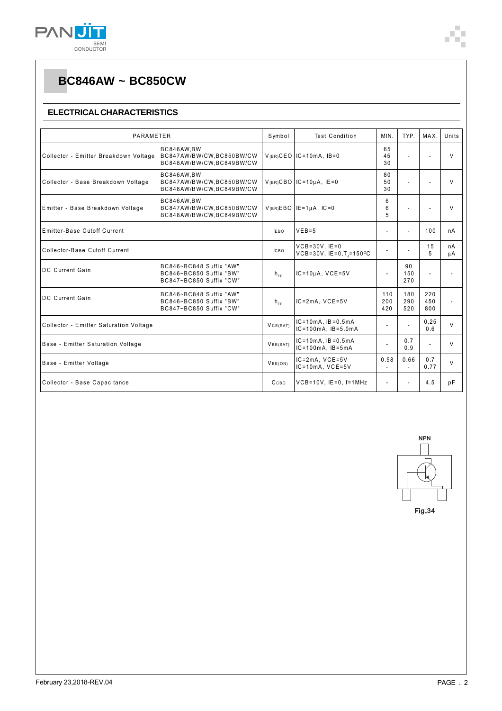

#### **ELECTRICAL CHARACTERISTICS**

| PARAMETER                                                                                                   |                                                                               | Symbol                       | <b>Test Condition</b>                                       | MIN.              | TYP.                     | MAX.              | Units    |
|-------------------------------------------------------------------------------------------------------------|-------------------------------------------------------------------------------|------------------------------|-------------------------------------------------------------|-------------------|--------------------------|-------------------|----------|
| BC846AW.BW<br>Collector - Emitter Breakdown Voltage<br>BC847AW/BW/CW,BC850BW/CW<br>BC848AW/BW/CW,BC849BW/CW |                                                                               |                              | $V(BR)$ CEO IC=10mA, IB=0                                   | 65<br>45<br>30    | ÷,                       |                   | $\vee$   |
| Collector - Base Breakdown Voltage                                                                          | BC846AW.BW<br>BC847AW/BW/CW.BC850BW/CW<br>BC848AW/BW/CW,BC849BW/CW            |                              | $V(BR)CBO$ IC=10µA, IE=0                                    | 80<br>50<br>30    | ÷                        |                   | $\vee$   |
| BC846AW,BW<br>Emitter - Base Breakdown Voltage<br>BC847AW/BW/CW,BC850BW/CW<br>BC848AW/BW/CW,BC849BW/CW      |                                                                               |                              | $V(BR)EBO$ IE=1µA, IC=0                                     | 6<br>6<br>5       |                          |                   | $\vee$   |
| Emitter-Base Cutoff Current                                                                                 |                                                                               | <b>IFBO</b>                  | $VEB=5$                                                     | ٠                 | $\overline{\phantom{a}}$ | 100               | nA       |
| Collector-Base Cutoff Current                                                                               |                                                                               | <b>ICBO</b>                  | $VCB = 30V$ . $IE = 0$<br>$VCB = 30V$ , $IE = 0, T = 150°C$ | $\overline{a}$    |                          | 15<br>5           | nA<br>μA |
| <b>DC</b> Current Gain                                                                                      | BC846~BC848 Suffix "AW"<br>BC846~BC850 Suffix "BW"<br>BC847~BC850 Suffix "CW" | $h_{\varepsilon\varepsilon}$ | $IC = 10uA$ , $VCE = 5V$                                    | $\sim$            | 90<br>150<br>270         |                   |          |
| <b>DC Current Gain</b>                                                                                      | BC846~BC848 Suffix "AW"<br>BC846~BC850 Suffix "BW"<br>BC847~BC850 Suffix "CW" | $h_{FF}$                     | $IC = 2mA$ , $VCE = 5V$                                     | 110<br>200<br>420 | 180<br>290<br>520        | 220<br>450<br>800 |          |
| Collector - Emitter Saturation Voltage                                                                      |                                                                               | VCE(SAT)                     | $IC = 10mA$ . $IB = 0.5mA$<br>$IC = 100mA$ , $IB = 5.0mA$   | $\overline{a}$    | $\overline{\phantom{a}}$ | 0.25<br>0.6       | $\vee$   |
| Base - Emitter Saturation Voltage                                                                           |                                                                               | VBE(SAT)                     | $IC = 10mA$ . $IB = 0.5mA$<br>$IC = 100mA$ , $IB = 5mA$     | ÷                 | 0.7<br>0.9               |                   | V        |
| Base - Emitter Voltage                                                                                      |                                                                               | VBE(ON)                      | $IC = 2mA$ , $VCE = 5V$<br>$IC = 10mA$ , $VCE = 5V$         | 0.58<br>÷.        | 0.66<br>$\overline{a}$   | 0.7<br>0.77       | $\vee$   |
| Collector - Base Capacitance                                                                                |                                                                               | Ссво                         | $VCB=10V$ , $IE=0$ , $f=1MHz$                               | $\blacksquare$    | $\overline{a}$           | 4.5               | pF       |



**Fig.34**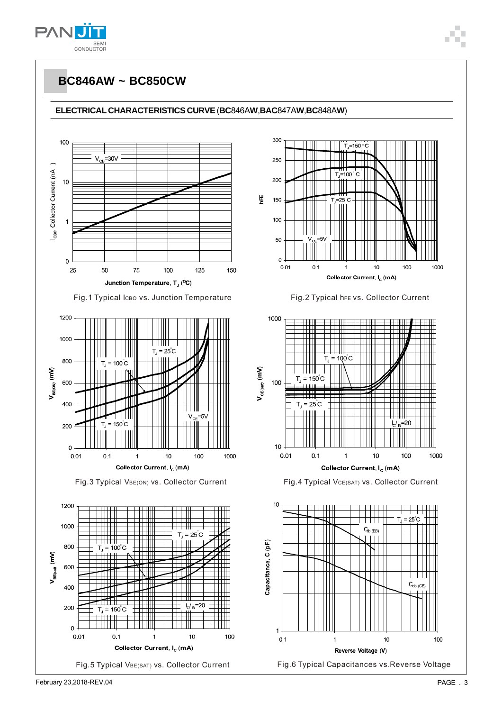



100

1000

1000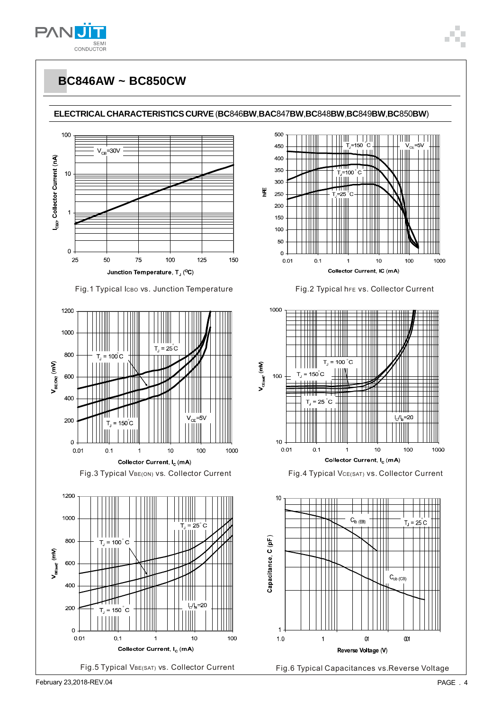

















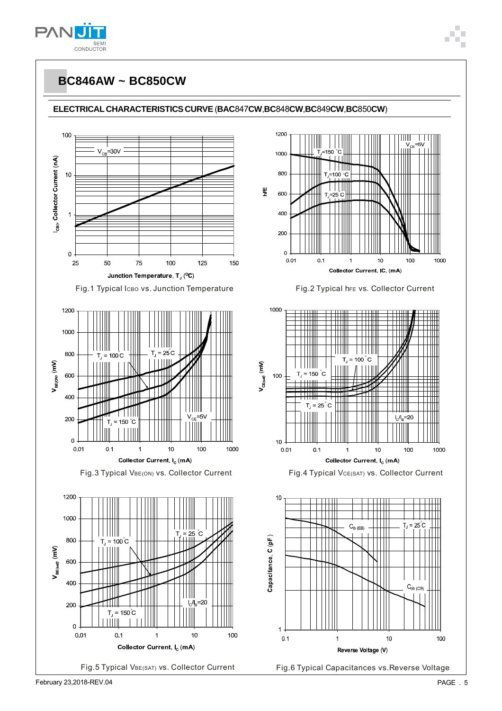

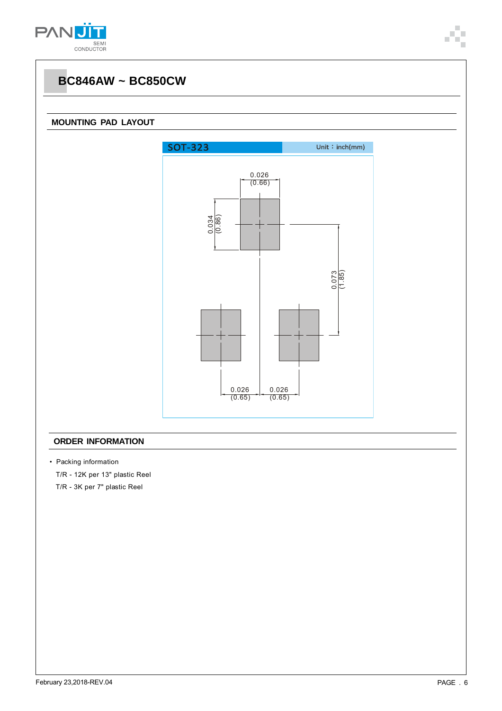

#### **MOUNTING PAD LAYOUT**



#### **ORDER INFORMATION**

• Packing information

T/R - 12K per 13" plastic Reel

T/R - 3K per 7" plastic Reel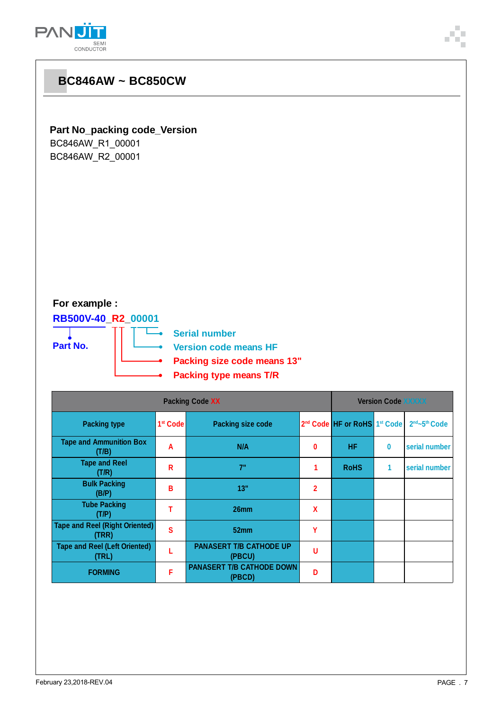

| <b>BC846AW ~ BC850CW</b>                                                    |                      |                                                                                                                      |                |                                                      |              |               |
|-----------------------------------------------------------------------------|----------------------|----------------------------------------------------------------------------------------------------------------------|----------------|------------------------------------------------------|--------------|---------------|
| <b>Part No_packing code_Version</b><br>BC846AW_R1_00001<br>BC846AW_R2_00001 |                      |                                                                                                                      |                |                                                      |              |               |
| For example :<br>RB500V-40_R2_00001<br>Part No.                             |                      | <b>Serial number</b><br><b>Version code means HF</b><br>Packing size code means 13"<br><b>Packing type means T/R</b> |                |                                                      |              |               |
|                                                                             |                      | <b>Packing Code XX</b>                                                                                               |                | <b>Version Code XXXXX</b>                            |              |               |
| <b>Packing type</b>                                                         | 1 <sup>st</sup> Code | <b>Packing size code</b>                                                                                             |                | 2 <sup>nd</sup> Code HF or RoHS 1 <sup>st</sup> Code |              | 2nd~5th Code  |
| <b>Tape and Ammunition Box</b><br>(T/B)                                     | A                    | N/A                                                                                                                  | 0              | HF.                                                  | $\bf{0}$     | serial number |
| <b>Tape and Reel</b><br>(T/R)                                               | $\mathsf{R}$         | 7"                                                                                                                   | 1              | <b>RoHS</b>                                          | $\mathbf{1}$ | serial number |
| <b>Bulk Packing</b><br>(B/P)                                                | B                    | 13"                                                                                                                  | $\overline{2}$ |                                                      |              |               |
| <b>Tube Packing</b><br>(T/P)                                                | $\mathsf T$          | 26mm                                                                                                                 | X              |                                                      |              |               |
| <b>Tape and Reel (Right Oriented)</b><br>(TRR)                              | ${\bf S}$            | 52mm                                                                                                                 | Y              |                                                      |              |               |
| <b>Tape and Reel (Left Oriented)</b><br>(TRL)                               | L                    | <b>PANASERT T/B CATHODE UP</b><br>(PBCU)                                                                             | U              |                                                      |              |               |
| <b>FORMING</b>                                                              | F                    | PANASERT T/B CATHODE DOWN<br>ADOM                                                                                    | D              |                                                      |              |               |

**(PBCD) <sup>D</sup>**